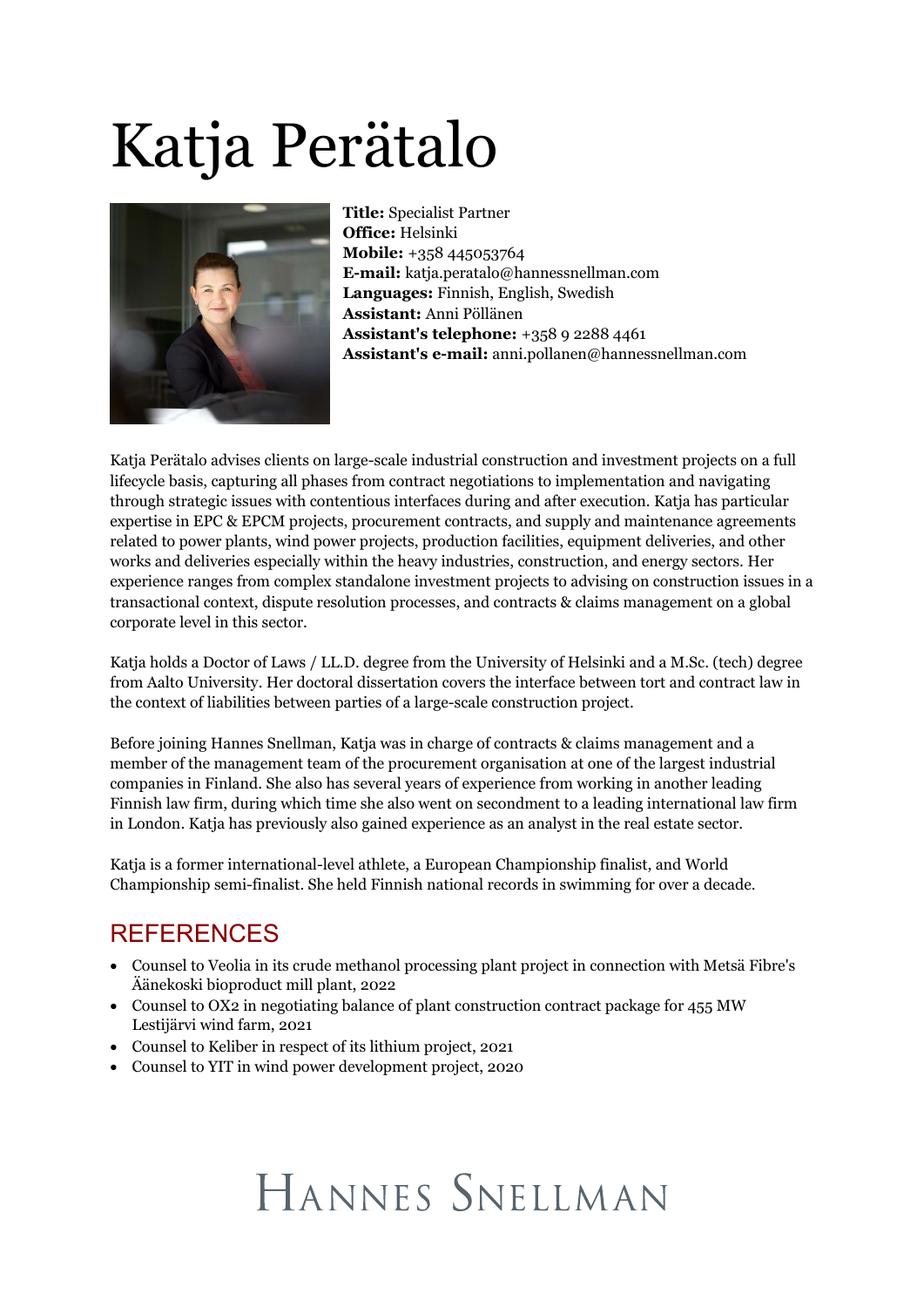# Katja Perätalo



**Title:** Specialist Partner **Office:** Helsinki **Mobile:** +358 445053764 **E-mail:** katja.peratalo@hannessnellman.com **Languages:** Finnish, English, Swedish **Assistant:** Anni Pöllänen **Assistant's telephone:** +358 9 2288 4461 **Assistant's e-mail:** anni.pollanen@hannessnellman.com

Katja Perätalo advises clients on large-scale industrial construction and investment projects on a full lifecycle basis, capturing all phases from contract negotiations to implementation and navigating through strategic issues with contentious interfaces during and after execution. Katja has particular expertise in EPC & EPCM projects, procurement contracts, and supply and maintenance agreements related to power plants, wind power projects, production facilities, equipment deliveries, and other works and deliveries especially within the heavy industries, construction, and energy sectors. Her experience ranges from complex standalone investment projects to advising on construction issues in a transactional context, dispute resolution processes, and contracts & claims management on a global corporate level in this sector.

Katja holds a Doctor of Laws / LL.D. degree from the University of Helsinki and a M.Sc. (tech) degree from Aalto University. Her doctoral dissertation covers the interface between tort and contract law in the context of liabilities between parties of a large-scale construction project.

Before joining Hannes Snellman, Katja was in charge of contracts & claims management and a member of the management team of the procurement organisation at one of the largest industrial companies in Finland. She also has several years of experience from working in another leading Finnish law firm, during which time she also went on secondment to a leading international law firm in London. Katja has previously also gained experience as an analyst in the real estate sector.

Katja is a former international-level athlete, a European Championship finalist, and World Championship semi-finalist. She held Finnish national records in swimming for over a decade.

#### REFERENCES

- · Counsel to Veolia in its crude methanol processing plant project in connection with Metsä Fibre's Äänekoski bioproduct mill plant, 2022
- · Counsel to OX2 in negotiating balance of plant construction contract package for 455 MW Lestijärvi wind farm, 2021
- · Counsel to Keliber in respect of its lithium project, 2021
- · Counsel to YIT in wind power development project, 2020

## HANNES SNELLMAN